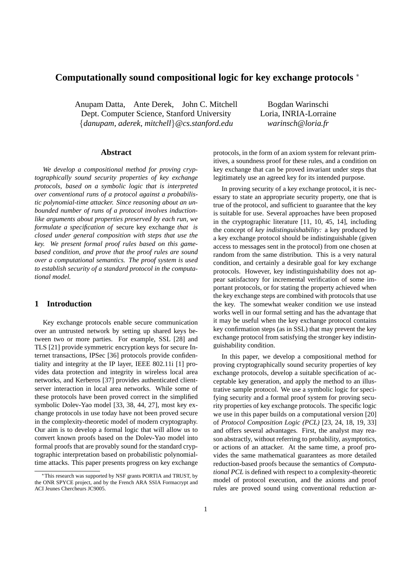# **Computationally sound compositional logic for key exchange protocols** <sup>∗</sup>

Anupam Datta, Ante Derek, John C. Mitchell Dept. Computer Science, Stanford University {*danupam, aderek, mitchell*}*@cs.stanford.edu*

Bogdan Warinschi Loria, INRIA-Lorraine *warinsch@loria.fr*

#### **Abstract**

*We develop a compositional method for proving cryptographically sound security properties of key exchange protocols, based on a symbolic logic that is interpreted over conventional runs of a protocol against a probabilistic polynomial-time attacker. Since reasoning about an unbounded number of runs of a protocol involves inductionlike arguments about properties preserved by each run, we formulate a specification of* secure key exchange *that is closed under general composition with steps that use the key. We present formal proof rules based on this gamebased condition, and prove that the proof rules are sound over a computational semantics. The proof system is used to establish security of a standard protocol in the computational model.*

### **1 Introduction**

Key exchange protocols enable secure communication over an untrusted network by setting up shared keys between two or more parties. For example, SSL [28] and TLS [21] provide symmetric encryption keys for secure Internet transactions, IPSec [36] protocols provide confidentiality and integrity at the IP layer, IEEE 802.11i [1] provides data protection and integrity in wireless local area networks, and Kerberos [37] provides authenticated clientserver interaction in local area networks. While some of these protocols have been proved correct in the simplified symbolic Dolev-Yao model [33, 38, 44, 27], most key exchange protocols in use today have not been proved secure in the complexity-theoretic model of modern cryptography. Our aim is to develop a formal logic that will allow us to convert known proofs based on the Dolev-Yao model into formal proofs that are provably sound for the standard cryptographic interpretation based on probabilistic polynomialtime attacks. This paper presents progress on key exchange

protocols, in the form of an axiom system for relevant primitives, a soundness proof for these rules, and a condition on key exchange that can be proved invariant under steps that legitimately use an agreed key for its intended purpose.

In proving security of a key exchange protocol, it is necessary to state an appropriate security property, one that is true of the protocol, and sufficient to guarantee that the key is suitable for use. Several approaches have been proposed in the cryptographic literature [11, 10, 45, 14], including the concept of *key indistinguishability:* a key produced by a key exchange protocol should be indistinguishable (given access to messages sent in the protocol) from one chosen at random from the same distribution. This is a very natural condition, and certainly a desirable goal for key exchange protocols. However, key indistinguishability does not appear satisfactory for incremental verification of some important protocols, or for stating the property achieved when the key exchange steps are combined with protocols that use the key. The somewhat weaker condition we use instead works well in our formal setting and has the advantage that it may be useful when the key exchange protocol contains key confirmation steps (as in SSL) that may prevent the key exchange protocol from satisfying the stronger key indistinguishability condition.

In this paper, we develop a compositional method for proving cryptographically sound security properties of key exchange protocols, develop a suitable specification of acceptable key generation, and apply the method to an illustrative sample protocol. We use a symbolic logic for specifying security and a formal proof system for proving security properties of key exchange protocols. The specific logic we use in this paper builds on a computational version [20] of *Protocol Composition Logic (PCL)* [23, 24, 18, 19, 33] and offers several advantages. First, the analyst may reason abstractly, without referring to probability, asymptotics, or actions of an attacker. At the same time, a proof provides the same mathematical guarantees as more detailed reduction-based proofs because the semantics of *Computational PCL* is defined with respect to a complexity-theoretic model of protocol execution, and the axioms and proof rules are proved sound using conventional reduction ar-

<sup>∗</sup>This research was supported by NSF grants PORTIA and TRUST, by the ONR SPYCE project, and by the French ARA SSIA Formacrypt and ACI Jeunes Chercheurs JC9005.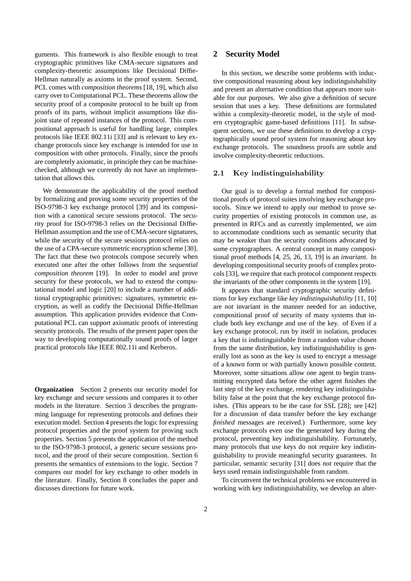guments. This framework is also flexible enough to treat cryptographic primitives like CMA-secure signatures and complexity-theoretic assumptions like Decisional Diffie-Hellman naturally as axioms in the proof system. Second, PCL comes with *composition theorems* [18, 19], which also carry over to Computational PCL. These theorems allow the security proof of a composite protocol to be built up from proofs of its parts, without implicit assumptions like disjoint state of repeated instances of the protocol. This compositional approach is useful for handling large, complex protocols like IEEE 802.11i [33] and is relevant to key exchange protocols since key exchange is intended for use in composition with other protocols. Finally, since the proofs are completely axiomatic, in principle they can be machinechecked, although we currently do not have an implementation that allows this.

We demonstrate the applicability of the proof method by formalizing and proving some security properties of the ISO-9798-3 key exchange protocol [39] and its composition with a canonical secure sessions protocol. The security proof for ISO-9798-3 relies on the Decisional Diffie-Hellman assumption and the use of CMA-secure signatures, while the security of the secure sessions protocol relies on the use of a CPA-secure symmetric encryption scheme [30]. The fact that these two protocols compose securely when executed one after the other follows from the *sequential composition theorem* [19]. In order to model and prove security for these protocols, we had to extend the computational model and logic [20] to include a number of additional cryptographic primitives: signatures, symmetric encryption, as well as codify the Decisional Diffie-Hellman assumption. This application provides evidence that Computational PCL can support axiomatic proofs of interesting security protocols. The results of the present paper open the way to developing computationally sound proofs of larger practical protocols like IEEE 802.11i and Kerberos.

**Organization** Section 2 presents our security model for key exchange and secure sessions and compares it to other models in the literature. Section 3 describes the programming language for representing protocols and defines their execution model. Section 4 presents the logic for expressing protocol properties and the proof system for proving such properties. Section 5 presents the application of the method to the ISO-9798-3 protocol, a generic secure sessions protocol, and the proof of their secure composition. Section 6 presents the semantics of extensions to the logic. Section 7 compares our model for key exchange to other models in the literature. Finally, Section 8 concludes the paper and discusses directions for future work.

### **2 Security Model**

In this section, we describe some problems with inductive compositional reasoning about key indistinguishability and present an alternative condition that appears more suitable for our purposes. We also give a definition of secure session that uses a key. These definitions are formulated within a complexity-theoretic model, in the style of modern cryptographic game-based definitions [11]. In subsequent sections, we use these definitions to develop a cryptographically sound proof system for reasoning about key exchange protocols. The soundness proofs are subtle and involve complexity-theoretic reductions.

### 2.1 Key indistinguishability

Our goal is to develop a formal method for compositional proofs of protocol suites involving key exchange protocols. Since we intend to apply our method to prove security properties of existing protocols in common use, as presented in RFCs and as currently implemented, we aim to accommodate conditions such as semantic security that may be weaker than the security conditions advocated by some cryptographers. A central concept in many compositional proof methods [4, 25, 26, 13, 19] is an *invariant*. In developing compositional security proofs of complex protocols [33], we require that each protocol component respects the invariants of the other components in the system [19].

It appears that standard cryptographic security definitions for key exchange like *key indistinguishability* [11, 10] are *not* invariant in the manner needed for an inductive, compositional proof of security of many systems that include both key exchange and use of the key. of Even if a key exchange protocol, run by itself in isolation, produces a key that is indistinguishable from a random value chosen from the same distribution, key indistinguishability is generally lost as soon as the key is used to encrypt a message of a known form or with partially known possible content. Moreover, some situations allow one agent to begin transmitting encrypted data before the other agent finishes the last step of the key exchange, rendering key indistinguishability false at the point that the key exchange protocol finishes. (This appears to be the case for SSL [28]; see [42] for a discussion of data transfer before the key exchange *finished* messages are received.) Furthermore, some key exchange protocols even use the generated key during the protocol, preventing key indistinguishability. Fortunately, many protocols that use keys do not require key indistinguishability to provide meaningful security guarantees. In particular, semantic security [31] does *not* require that the keys used remain indistinguishable from random.

To circumvent the technical problems we encountered in working with key indistinguishability, we develop an alter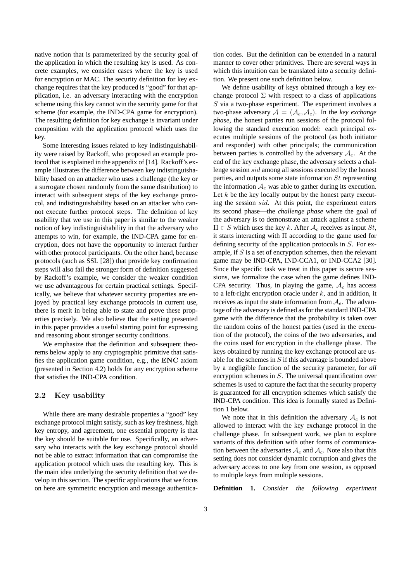native notion that is parameterized by the security goal of the application in which the resulting key is used. As concrete examples, we consider cases where the key is used for encryption or MAC. The security definition for key exchange requires that the key produced is "good" for that application, i.e. an adversary interacting with the encryption scheme using this key cannot win the security game for that scheme (for example, the IND-CPA game for encryption). The resulting definition for key exchange is invariant under composition with the application protocol which uses the key.

Some interesting issues related to key indistinguishability were raised by Rackoff, who proposed an example protocol that is explained in the appendix of [14]. Rackoff's example illustrates the difference between key indistinguishability based on an attacker who uses a challenge (the key or a surrogate chosen randomly from the same distribution) to interact with subsequent steps of the key exchange protocol, and indistinguishability based on an attacker who cannot execute further protocol steps. The definition of key usability that we use in this paper is similar to the weaker notion of key indistinguishability in that the adversary who attempts to win, for example, the IND-CPA game for encryption, does not have the opportunity to interact further with other protocol participants. On the other hand, because protocols (such as SSL [28]) that provide key confirmation steps will also fail the stronger form of definition suggested by Rackoff's example, we consider the weaker condition we use advantageous for certain practical settings. Specifically, we believe that whatever security properties are enjoyed by practical key exchange protocols in current use, there is merit in being able to state and prove these properties precisely. We also believe that the setting presented in this paper provides a useful starting point for expressing and reasoning about stronger security conditions.

We emphasize that the definition and subsequent theorems below apply to any cryptographic primitive that satisfies the application game condition, e.g., the ENC axiom (presented in Section 4.2) holds for any encryption scheme that satisfies the IND-CPA condition.

# 2.2 Key usability

While there are many desirable properties a "good" key exchange protocol might satisfy, such as key freshness, high key entropy, and agreement, one essential property is that the key should be suitable for use. Specifically, an adversary who interacts with the key exchange protocol should not be able to extract information that can compromise the application protocol which uses the resulting key. This is the main idea underlying the security definition that we develop in this section. The specific applications that we focus on here are symmetric encryption and message authentication codes. But the definition can be extended in a natural manner to cover other primitives. There are several ways in which this intuition can be translated into a security definition. We present one such definition below.

We define usability of keys obtained through a key exchange protocol  $\Sigma$  with respect to a class of applications  $S$  via a two-phase experiment. The experiment involves a two-phase adversary  $A = (A_e, A_c)$ . In the *key exchange phase*, the honest parties run sessions of the protocol following the standard execution model: each principal executes multiple sessions of the protocol (as both initiator and responder) with other principals; the communication between parties is controlled by the adversary  $A_e$ . At the end of the key exchange phase, the adversary selects a challenge session sid among all sessions executed by the honest parties, and outputs some state information St representing the information  $A_e$  was able to gather during its execution. Let  $k$  be the key locally output by the honest party executing the session sid. At this point, the experiment enters its second phase—the *challenge phase* where the goal of the adversary is to demonstrate an attack against a scheme  $\Pi \in S$  which uses the key k. After  $A_c$  receives as input  $St$ , it starts interacting with  $\Pi$  according to the game used for defining security of the application protocols in S. For example, if  $S$  is a set of encryption schemes, then the relevant game may be IND-CPA, IND-CCA1, or IND-CCA2 [30]. Since the specific task we treat in this paper is secure sessions, we formalize the case when the game defines IND-CPA security. Thus, in playing the game,  $A_c$  has access to a left-right encryption oracle under  $k$ , and in addition, it receives as input the state information from  $A_e$ . The advantage of the adversary is defined as for the standard IND-CPA game with the difference that the probability is taken over the random coins of the honest parties (used in the execution of the protocol), the coins of the two adversaries, and the coins used for encryption in the challenge phase. The keys obtained by running the key exchange protocol are usable for the schemes in  $S$  if this advantage is bounded above by a negligible function of the security parameter, for *all* encryption schemes in S. The universal quantification over schemes is used to capture the fact that the security property is guaranteed for all encryption schemes which satisfy the IND-CPA condition. This idea is formally stated as Definition 1 below.

We note that in this definition the adversary  $A_c$  is not allowed to interact with the key exchange protocol in the challenge phase. In subsequent work, we plan to explore variants of this definition with other forms of communication between the adversaries  $\mathcal{A}_{e}$  and  $\mathcal{A}_{c}$ . Note also that this setting does not consider dynamic corruption and gives the adversary access to one key from one session, as opposed to multiple keys from multiple sessions.

**Definition 1.** *Consider the following experiment*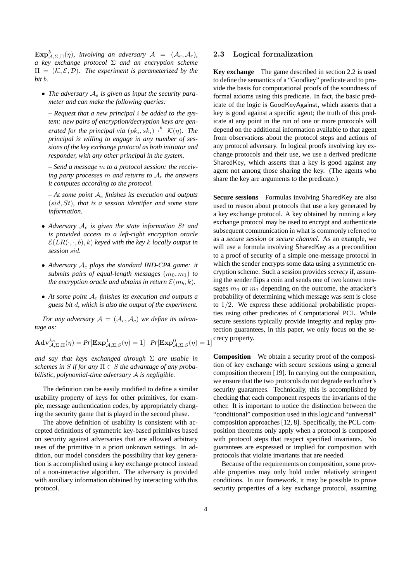$\mathbf{Exp}^b_{\mathcal{A},\Sigma,\Pi}(\eta)$ *, involving an adversary*  $\mathcal{A} = (\mathcal{A}_e, \mathcal{A}_c)$ *, a key exchange protocol* Σ *and an encryption scheme*  $\Pi = (K, \mathcal{E}, \mathcal{D})$ *. The experiment is parameterized by the bit* b*.*

• The adversary  $A_e$  is given as input the security para*meter and can make the following queries:*

*– Request that a new principal* i *be added to the system: new pairs of encryption/decryption keys are generated for the principal via*  $(pk_i, sk_i) \stackrel{\$}{\leftarrow} \mathcal{K}(\eta)$ *. The principal is willing to engage in any number of sessions of the key exchange protocol as both initiator and responder, with any other principal in the system.*

*– Send a message* m *to a protocol session: the receiving party processes* m *and returns to* A<sup>e</sup> *the answers it computes according to the protocol.*

*– At some point* A<sup>e</sup> *finishes its execution and outputs* (sid, St)*, that is a session identifier and some state information.*

- Adversary  $A_c$  *is given the state information* St and *is provided access to a left-right encryption oracle*  $\mathcal{E}(LR(\cdot,\cdot,b),k)$  *keyed with the key k locally output in session* sid*.*
- Adversary  $A_c$  plays the standard IND-CPA game: it *submits pairs of equal-length messages*  $(m_0, m_1)$  *to the encryption oracle and obtains in return*  $\mathcal{E}(m_b, k)$ *.*
- *At some point* A<sup>c</sup> *finishes its execution and outputs a guess bit* d*, which is also the output of the experiment.*

For any adversary  $A = (A_e, A_c)$  *we define its advantage as:*

$$
\mathbf{Adv}_{\mathcal{A},\Sigma,\Pi}^{ke}(\eta) = Pr[\mathbf{Exp}_{\mathcal{A},\Sigma,S}^{1}(\eta) = 1] - Pr[\mathbf{Exp}_{\mathcal{A},\Sigma,S}^{0}(\eta) = 1] \text{crecy property.}
$$

*and say that keys exchanged through* Σ *are usable in schemes in S if for any*  $\Pi \in S$  *the advantage of any probabilistic, polynomial-time adversary* A *is negligible.*

The definition can be easily modified to define a similar usability property of keys for other primitives, for example, message authentication codes, by appropriately changing the security game that is played in the second phase.

The above definition of usability is consistent with accepted definitions of symmetric key-based primitives based on security against adversaries that are allowed arbitrary uses of the primitive in a priori unknown settings. In addition, our model considers the possibility that key generation is accomplished using a key exchange protocol instead of a non-interactive algorithm. The adversary is provided with auxiliary information obtained by interacting with this protocol.

#### 2.3 Logical formalization

**Key exchange** The game described in section 2.2 is used to define the semantics of a "Goodkey" predicate and to provide the basis for computational proofs of the soundness of formal axioms using this predicate. In fact, the basic predicate of the logic is GoodKeyAgainst, which asserts that a key is good against a specific agent; the truth of this predicate at any point in the run of one or more protocols will depend on the additional information available to that agent from observations about the protocol steps and actions of any protocol adversary. In logical proofs involving key exchange protocols and their use, we use a derived predicate SharedKey, which asserts that a key is good against any agent not among those sharing the key. (The agents who share the key are arguments to the predicate.)

Secure sessions Formulas involving SharedKey are also used to reason about protocols that use a key generated by a key exchange protocol. A key obtained by running a key exchange protocol may be used to encrypt and authenticate subsequent communication in what is commonly referred to as a *secure session* or *secure channel*. As an example, we will use a formula involving SharedKey as a precondition to a proof of security of a simple one-message protocol in which the sender encrypts some data using a symmetric encryption scheme. Such a session provides *secrecy* if, assuming the sender flips a coin and sends one of two known messages  $m_0$  or  $m_1$  depending on the outcome, the attacker's probability of determining which message was sent is close to  $1/2$ . We express these additional probabilistic properties using other predicates of Computational PCL. While secure sessions typically provide integrity and replay protection guarantees, in this paper, we only focus on the se-

**Composition** We obtain a security proof of the composition of key exchange with secure sessions using a general composition theorem [19]. In carrying out the composition, we ensure that the two protocols do not degrade each other's security guarantees. Technically, this is accomplished by checking that each component respects the invariants of the other. It is important to notice the distinction between the "conditional" composition used in this logic and "universal" composition approaches [12, 8]. Specifically, the PCL composition theorems only apply when a protocol is composed with protocol steps that respect specified invariants. No guarantees are expressed or implied for composition with protocols that violate invariants that are needed.

Because of the requirements on composition, some provable properties may only hold under relatively stringent conditions. In our framework, it may be possible to prove security properties of a key exchange protocol, assuming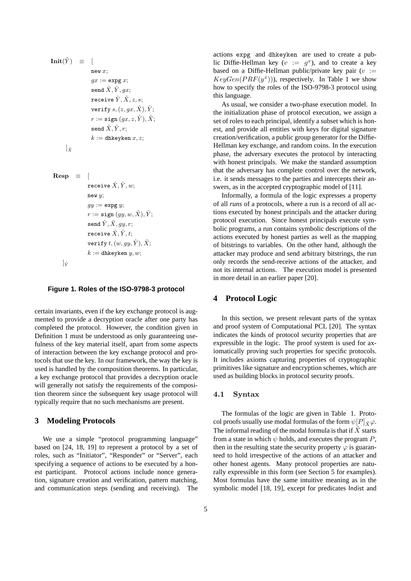$$
\begin{array}{rl} \mathbf{Init}(\tilde{Y}) & \equiv & \mathbf{[} & \\ & \mathbf{new}\,x; & \\ & gx := \mathbf{expg}\,x; & \\ & \mathbf{send}\,\hat{X},\hat{Y},gx; & \\ & \mathbf{recieve}\,\hat{Y},\hat{X},z,s; & \\ & \mathbf{verify}\,s,(z,gx,\hat{X}),\hat{Y}; & \\ & r := \mathbf{sign}\,(gx,z,\hat{Y}),\hat{X}; & \\ & \mathbf{send}\,\hat{X},\hat{Y},r; & \\ & k := \mathbf{dkeyken}\,x,z; & \\ & \mathbf{Resp} & \equiv & \mathbf{[} & \\ & \mathbf{receive}\,\hat{X},\hat{Y},w; & \\ & \mathbf{new}\,y; & \\ & gy := \mathbf{expg}\,y; & \\ & r := \mathbf{sign}\,(gy,w,\hat{X}),\hat{Y}; & \\ & \mathbf{send}\,\hat{Y},\hat{X},gy,r; & \\ & \mathbf{receive}\,\hat{X},\hat{Y},t; & \\ & \mathbf{verify}\,t,(w,gy,\hat{Y}),\hat{X}; & \\ & k := \mathbf{dkeyken}\,y,w; & \\ & \mathbf{y} \end{array}
$$

#### **Figure 1. Roles of the ISO-9798-3 protocol**

certain invariants, even if the key exchange protocol is augmented to provide a decryption oracle after one party has completed the protocol. However, the condition given in Definition 1 must be understood as only guaranteeing usefulness of the key material itself, apart from some aspects of interaction between the key exchange protocol and protocols that use the key. In our framework, the way the key is used is handled by the composition theorems. In particular, a key exchange protocol that provides a decryption oracle will generally not satisfy the requirements of the composition theorem since the subsequent key usage protocol will typically require that no such mechanisms are present.

### **3 Modeling Protocols**

We use a simple "protocol programming language" based on [24, 18, 19] to represent a protocol by a set of roles, such as "Initiator", "Responder" or "Server", each specifying a sequence of actions to be executed by a honest participant. Protocol actions include nonce generation, signature creation and verification, pattern matching, and communication steps (sending and receiving). The actions expg and dhkeyken are used to create a public Diffie-Hellman key ( $v := g^x$ ), and to create a key based on a Diffie-Hellman public/private key pair  $(v :=$  $KeyGen(PRF(y^x))$ ), respectively. In Table 1 we show how to specify the roles of the ISO-9798-3 protocol using this language.

As usual, we consider a two-phase execution model. In the initialization phase of protocol execution, we assign a set of roles to each principal, identify a subset which is honest, and provide all entities with keys for digital signature creation/verification, a public group generator for the Diffie-Hellman key exchange, and random coins. In the execution phase, the adversary executes the protocol by interacting with honest principals. We make the standard assumption that the adversary has complete control over the network, i.e. it sends messages to the parties and intercepts their answers, as in the accepted cryptographic model of [11].

Informally, a formula of the logic expresses a property of all *runs* of a protocols, where a run is a record of all actions executed by honest principals and the attacker during protocol execution. Since honest principals execute symbolic programs, a run contains symbolic descriptions of the actions executed by honest parties as well as the mapping of bitstrings to variables. On the other hand, although the attacker may produce and send arbitrary bitstrings, the run only records the send-receive actions of the attacker, and not its internal actions. The execution model is presented in more detail in an earlier paper [20].

### **4 Protocol Logic**

In this section, we present relevant parts of the syntax and proof system of Computational PCL [20]. The syntax indicates the kinds of protocol security properties that are expressible in the logic. The proof system is used for axiomatically proving such properties for specific protocols. It includes axioms capturing properties of cryptographic primitives like signature and encryption schemes, which are used as building blocks in protocol security proofs.

#### 4.1 Syntax

The formulas of the logic are given in Table 1. Protocol proofs usually use modal formulas of the form  $\psi[P]_{\tilde{Y}}\varphi$ . The informal reading of the modal formula is that if  $\tilde{X}$  starts from a state in which  $\psi$  holds, and executes the program  $P$ , then in the resulting state the security property  $\varphi$  is guaranteed to hold irrespective of the actions of an attacker and other honest agents. Many protocol properties are naturally expressible in this form (see Section 5 for examples). Most formulas have the same intuitive meaning as in the symbolic model [18, 19], except for predicates Indist and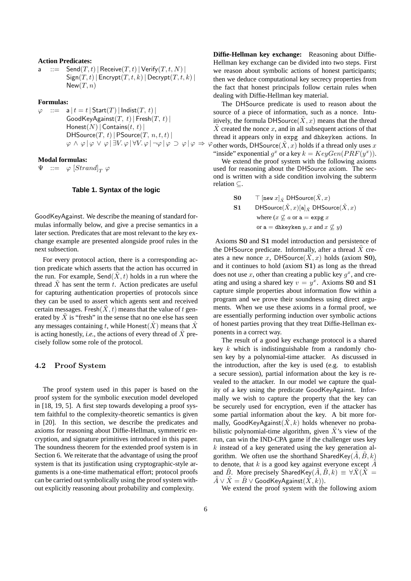### **Action Predicates:**

a ::= Send $(T, t)$  | Receive $(T, t)$  | Verify $(T, t, N)$  |  $Sign(T, t)$  | Encrypt $(T, t, k)$  | Decrypt $(T, t, k)$  |  $New(T, n)$ 

#### **Formulas:**

$$
\varphi ::= \begin{array}{ll}\mathsf{a} \mid t = t \mid \mathsf{Start}(T) \mid \mathsf{Indist}(T, t) \mid \\ \mathsf{GoodKey Against}(T, t) \mid \mathsf{Fresh}(T, t) \mid \\ \mathsf{Honest}(N) \mid \mathsf{Container}(t, t) \mid \\ \mathsf{DHSource}(T, t) \mid \mathsf{PSource}(T, n, t, t) \mid \\ \varphi \land \varphi \mid \varphi \lor \varphi \mid \exists V. \varphi \mid \forall V. \varphi \mid \neg \varphi \mid \varphi \supset \varphi \mid \varphi \Rightarrow \varphi \end{array}
$$

### **Modal formulas:**

 $\Psi \ ::= \ \varphi \ [Strand]_T \ \varphi$ 

#### **Table 1. Syntax of the logic**

GoodKeyAgainst. We describe the meaning of standard formulas informally below, and give a precise semantics in a later section. Predicates that are most relevant to the key exchange example are presented alongside proof rules in the next subsection.

For every protocol action, there is a corresponding action predicate which asserts that the action has occurred in the run. For example, Send $(X, t)$  holds in a run where the thread  $\tilde{X}$  has sent the term t. Action predicates are useful for capturing authentication properties of protocols since they can be used to assert which agents sent and received certain messages. Fresh $(X, t)$  means that the value of t generated by  $\tilde{X}$  is "fresh" in the sense that no one else has seen any messages containing t, while Honest $(\hat{X})$  means that  $\hat{X}$ is acting honestly, *i.e.*, the actions of every thread of  $\hat{X}$  precisely follow some role of the protocol.

### 4.2 Proof System

The proof system used in this paper is based on the proof system for the symbolic execution model developed in [18, 19, 5]. A first step towards developing a proof system faithful to the complexity-theoretic semantics is given in [20]. In this section, we describe the predicates and axioms for reasoning about Diffie-Hellman, symmetric encryption, and signature primitives introduced in this paper. The soundness theorem for the extended proof system is in Section 6. We reiterate that the advantage of using the proof system is that its justification using cryptographic-style arguments is a one-time mathematical effort; protocol proofs can be carried out symbolically using the proof system without explicitly reasoning about probability and complexity.

**Diffie-Hellman key exchange:** Reasoning about Diffie-Hellman key exchange can be divided into two steps. First we reason about symbolic actions of honest participants; then we deduce computational key secrecy properties from the fact that honest principals follow certain rules when dealing with Diffie-Hellman key material.

The DHSource predicate is used to reason about the source of a piece of information, such as a nonce. Intuitively, the formula DHSource( $\tilde{X}, x$ ) means that the thread  $\tilde{X}$  created the nonce x, and in all subsequent actions of that thread it appears only in expg and dhkeyken actions. In  $\varphi$  other words, DHSource( $\tilde{X}, x$ ) holds if a thread only uses x "inside" exponential  $g^x$  or a key  $k = KeyGen(PRF(y^x))$ .

We extend the proof system with the following axioms used for reasoning about the DHSource axiom. The second is written with a side condition involving the subterm relation ⊆.

S0 
$$
\top
$$
 [new x] <sub>$\tilde{X}$</sub>  DHSource( $\tilde{X}, x$ )  
\nS1 DHSource( $\tilde{X}, x$ )[a] <sub>$\tilde{X}$</sub>  DHSource( $\tilde{X}, x$ )  
\nwhere  $(x \not\subseteq a$  or a = expg x  
\nor a = dhkeyken y, x and  $x \not\subseteq y$ )

Axioms S0 and S1 model introduction and persistence of the DHSource predicate. Informally, after a thread  $\tilde{X}$  creates a new nonce x, DHSource( $\hat{X}, x$ ) holds (axiom S0), and it continues to hold (axiom S1) as long as the thread does not use x, other than creating a public key  $g^x$ , and creating and using a shared key  $v = y^x$ . Axioms **S0** and **S1** capture simple properties about information flow within a program and we prove their soundness using direct arguments. When we use these axioms in a formal proof, we are essentially performing induction over symbolic actions of honest parties proving that they treat Diffie-Hellman exponents in a correct way.

The result of a good key exchange protocol is a shared key  $k$  which is indistinguishable from a randomly chosen key by a polynomial-time attacker. As discussed in the introduction, after the key is used (e.g. to establish a secure session), partial information about the key is revealed to the attacker. In our model we capture the quality of a key using the predicate GoodKeyAgainst. Informally we wish to capture the property that the key can be securely used for encryption, even if the attacker has some partial information about the key. A bit more formally, GoodKeyAgainst $(X, k)$  holds whenever no probabilistic polynomial-time algorithm, given  $\hat{X}$ 's view of the run, can win the IND-CPA game if the challenger uses key  $k$  instead of a key generated using the key generation algorithm. We often use the shorthand SharedKey( $\tilde{A}, \tilde{B}, k$ ) to denote, that  $k$  is a good key against everyone except  $\tilde{A}$ and  $\tilde{B}$ . More precisely SharedKey( $\tilde{A}$ ,  $\tilde{B}$ ,  $k$ )  $\equiv \forall \tilde{X}$ ( $\tilde{X}$  =  $\tilde{A} \vee \tilde{X} = \tilde{B} \vee$  GoodKeyAgainst $(\tilde{X}, k)$ ).

We extend the proof system with the following axiom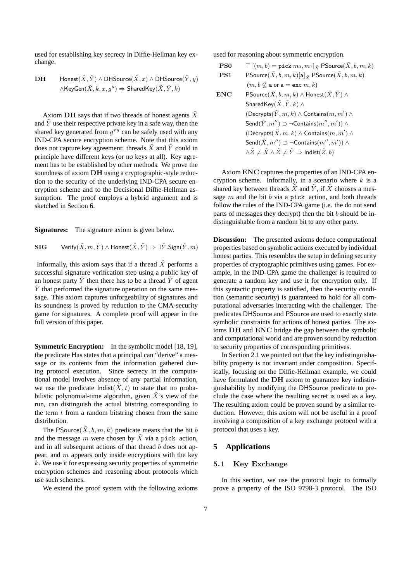used for establishing key secrecy in Diffie-Hellman key exchange.

**DH** Honest $(\hat{X}, \hat{Y})$  ∧ DHSource $(\tilde{X}, x)$  ∧ DHSource $(\tilde{Y}, y)$  $\wedge$ KeyGen $(\tilde{X}, k, x, g^y) \Rightarrow$  SharedKey $(\tilde{X}, \tilde{Y}, k)$ 

Axiom DH says that if two threads of honest agents  $\tilde{X}$ and  $\tilde{Y}$  use their respective private key in a safe way, then the shared key generated from  $g^{xy}$  can be safely used with any IND-CPA secure encryption scheme. Note that this axiom does not capture key agreement: threads  $\tilde{X}$  and  $\tilde{Y}$  could in principle have different keys (or no keys at all). Key agrement has to be established by other methods. We prove the soundness of axiom DH using a cryptographic-style reduction to the security of the underlying IND-CPA secure encryption scheme and to the Decisional Diffie-Hellman assumption. The proof employs a hybrid argument and is sketched in Section 6.

**Signatures:** The signature axiom is given below.

 $\mathbf{SIG}$  Verify $(\tilde{X}, m, \hat{Y}) \wedge$  Honest $(\hat{X}, \hat{Y}) \Rightarrow \exists \tilde{Y}$ .  $\mathsf{Sign}(\tilde{Y}, m)$ 

Informally, this axiom says that if a thread  $\hat{X}$  performs a successful signature verification step using a public key of an honest party  $\hat{Y}$  then there has to be a thread  $\tilde{Y}$  of agent  $\hat{Y}$  that performed the signature operation on the same message. This axiom captures unforgeability of signatures and its soundness is proved by reduction to the CMA-security game for signatures. A complete proof will appear in the full version of this paper.

**Symmetric Encryption:** In the symbolic model [18, 19], the predicate Has states that a principal can "derive" a message or its contents from the information gathered during protocol execution. Since secrecy in the computational model involves absence of any partial information, we use the predicate  $Indist(\tilde{X}, t)$  to state that no probabilistic polynomial-time algorithm, given  $\tilde{X}$ 's view of the run, can distinguish the actual bitstring corresponding to the term  $t$  from a random bitstring chosen from the same distribution.

The PSource( $\tilde{X}, b, m, k$ ) predicate means that the bit b and the message m were chosen by  $\tilde{X}$  via a pick action, and in all subsequent actions of that thread b does not appear, and  $m$  appears only inside encryptions with the key  $k$ . We use it for expressing security properties of symmetric encryption schemes and reasoning about protocols which use such schemes.

We extend the proof system with the following axioms

used for reasoning about symmetric encryption.

| PS0 | $\top$ $[(m, b) = \text{pick } m_0, m_1]_{\tilde{X}}$ PSource $(\tilde{X}, b, m, k)$ |
|-----|--------------------------------------------------------------------------------------|
|     |                                                                                      |

**PS1** PSource $(\tilde{X}, b, m, k)$ [a]<sub> $\tilde{X}$ </sub> PSource( $\tilde{X}, b, m, k$ )  $(m, b \not\subseteq a \text{ or } a = \text{enc } m, k)$ 

ENC PSource $(\tilde{X}, b, m, k) \wedge$  Honest $(\hat{X}, \hat{Y}) \wedge$ SharedKey( $\tilde{X}, \tilde{Y}, k$ ) ∧  $( \mathsf{Decrypts}(\tilde{Y}, m, k) \wedge \mathsf{contains}(m, m') \wedge$ Send $(\tilde{Y},m'')\supset\neg\mathsf{contains}(m'',m'))\wedge$ (Decrypts $(\tilde{X}, m, k) \wedge$  Contains $(m, m') \wedge$ Send $(\tilde{X},m'')$  ⊃  $\neg$ Contains $(m'',m'))$  ∧  $\wedge \tilde{Z} \neq \tilde{X} \wedge \tilde{Z} \neq \tilde{Y} \Rightarrow$  Indist $(\tilde{Z}, b)$ 

Axiom ENC captures the properties of an IND-CPA encryption scheme. Informally, in a scenario where  $k$  is a shared key between threads  $\tilde{X}$  and  $\tilde{Y}$ , if  $\tilde{X}$  chooses a message  $m$  and the bit  $b$  via a pick action, and both threads follow the rules of the IND-CPA game (i.e. the do not send parts of messages they decrypt) then the bit  $b$  should be indistinguishable from a random bit to any other party.

**Discussion:** The presented axioms deduce computational properties based on symbolic actions executed by individual honest parties. This resembles the setup in defining security properties of cryptographic primitives using games. For example, in the IND-CPA game the challenger is required to generate a random key and use it for encryption only. If this syntactic property is satisfied, then the security condition (semantic security) is guaranteed to hold for all computational adversaries interacting with the challenger. The predicates DHSource and PSource are used to exactly state symbolic constraints for actions of honest parties. The axioms DH and ENC bridge the gap between the symbolic and computational world and are proven sound by reduction to security properties of corresponding primitives.

In Section 2.1 we pointed out that the key indistinguishability property is not invariant under composition. Specifically, focusing on the Diffie-Hellman example, we could have formulated the DH axiom to guarantee key indistinguishability by modifying the DHSource predicate to preclude the case where the resulting secret is used as a key. The resulting axiom could be proven sound by a similar reduction. However, this axiom will not be useful in a proof involving a composition of a key exchange protocol with a protocol that uses a key.

### **5 Applications**

# 5.1 Key Exchange

In this section, we use the protocol logic to formally prove a property of the ISO 9798-3 protocol. The ISO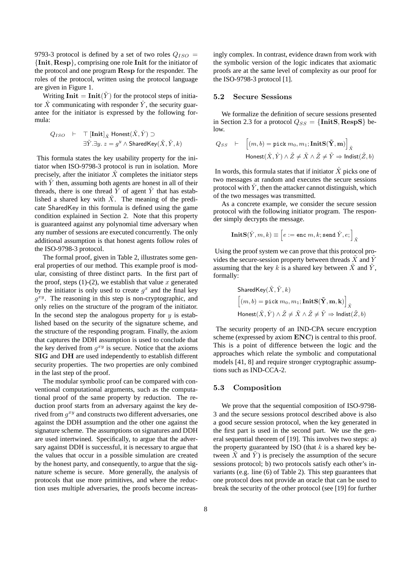9793-3 protocol is defined by a set of two roles  $Q_{ISO} =$ {Init, Resp}, comprising one role Init for the initiator of the protocol and one program Resp for the responder. The roles of the protocol, written using the protocol language are given in Figure 1.

Writing  $\text{Init} = \text{Init}(\tilde{Y})$  for the protocol steps of initiator  $\hat{X}$  communicating with responder  $\hat{Y}$ , the security guarantee for the initiator is expressed by the following formula:

$$
\begin{array}{lcl} Q_{ISO} & \vdash & \top \ [\mathbf{Init}]_{\tilde{X}} \ \mathsf{Honest}(\hat{X}, \hat{Y}) \supset \\ & & \exists \tilde{Y} . \exists y. \ z = g^y \wedge \mathsf{SharedKey}(\tilde{X}, \tilde{Y}, k) \end{array}
$$

This formula states the key usability property for the initiator when ISO-9798-3 protocol is run in isolation. More precisely, after the initiator  $\hat{X}$  completes the initiator steps with  $\hat{Y}$  then, assuming both agents are honest in all of their threads, there is one thread Y of agent Y that has established a shared key with  $\hat{X}$ . The meaning of the predicate SharedKey in this formula is defined using the game condition explained in Section 2. Note that this property is guaranteed against any polynomial time adversary when any number of sessions are executed concurrently. The only additional assumption is that honest agents follow roles of the ISO-9798-3 protocol.

The formal proof, given in Table 2, illustrates some general properties of our method. This example proof is modular, consisting of three distinct parts. In the first part of the proof, steps  $(1)-(2)$ , we establish that value x generated by the initiator is only used to create  $g^x$  and the final key  $g^{xy}$ . The reasoning in this step is non-cryptographic, and only relies on the structure of the program of the initiator. In the second step the analogous property for  $y$  is established based on the security of the signature scheme, and the structure of the responding program. Finally, the axiom that captures the DDH assumption is used to conclude that the key derived from  $g^{xy}$  is secure. Notice that the axioms SIG and DH are used independently to establish different security properties. The two properties are only combined in the last step of the proof.

The modular symbolic proof can be compared with conventional computational arguments, such as the computational proof of the same property by reduction. The reduction proof starts from an adversary against the key derived from  $g^{xy}$  and constructs two different adversaries, one against the DDH assumption and the other one against the signature scheme. The assumptions on signatures and DDH are used intertwined. Specifically, to argue that the adversary against DDH is successful, it is necessary to argue that the values that occur in a possible simulation are created by the honest party, and consequently, to argue that the signature scheme is secure. More generally, the analysis of protocols that use more primitives, and where the reduction uses multiple adversaries, the proofs become increasingly complex. In contrast, evidence drawn from work with the symbolic version of the logic indicates that axiomatic proofs are at the same level of complexity as our proof for the ISO-9798-3 protocol [1].

### 5.2 Secure Sessions

We formalize the definition of secure sessions presented in Section 2.3 for a protocol  $Q_{SS} = {\text{InitS}, \text{RespS}}$  below.

$$
\begin{array}{rcl} Q_{SS} & \vdash & \left[ (m,b)= \text{pick } m_0, m_1; \textbf{InitS}(\tilde{\mathbf{Y}},\mathbf{m}) \right]_{\tilde{X}} \\ & & \\ \textsf{Honest}(\hat{X},\hat{Y}) \wedge \tilde{Z} \neq \tilde{X} \wedge \tilde{Z} \neq \tilde{Y} \Rightarrow \textsf{Indist}(\tilde{Z},b) \end{array}
$$

In words, this formula states that if initiator  $\hat{X}$  picks one of two messages at random and executes the secure sessions protocol with  $\hat{Y}$ , then the attacker cannot distinguish, which of the two messages was transmitted.

As a concrete example, we consider the secure session protocol with the following initiator program. The responder simply decrypts the message.

$$
\mathbf{InitS}(\hat{Y}, m, k) \equiv \left[e := \texttt{enc } m, k; \texttt{send } \hat{Y}, e; \right]_{\tilde{X}}
$$

Using the proof system we can prove that this protocol provides the secure-session property between threads  $\tilde{X}$  and  $\tilde{Y}$ assuming that the key k is a shared key between  $\tilde{X}$  and  $\tilde{Y}$ , formally:

$$
\begin{aligned} &\text{SharedKey}(\tilde{X}, \tilde{Y}, k) \\ &\left[(m, b) = \text{pick } m_0, m_1; \text{InitS}(\tilde{\mathbf{Y}}, \mathbf{m}, \mathbf{k})\right]_{\tilde{X}} \\ &\text{Honest}(\hat{X}, \hat{Y}) \wedge \tilde{Z} \neq \tilde{X} \wedge \tilde{Z} \neq \tilde{Y} \Rightarrow \text{Indist}(\tilde{Z}, b) \end{aligned}
$$

The security property of an IND-CPA secure encryption scheme (expressed by axiom ENC) is central to this proof. This is a point of difference between the logic and the approaches which relate the symbolic and computational models [41, 8] and require stronger cryptographic assumptions such as IND-CCA-2.

# 5.3 Composition

We prove that the sequential composition of ISO-9798- 3 and the secure sessions protocol described above is also a good secure session protocol, when the key generated in the first part is used in the second part. We use the general sequential theorem of [19]. This involves two steps: a) the property guaranteed by ISO (that  $k$  is a shared key between  $\tilde{X}$  and  $\tilde{Y}$ ) is precisely the assumption of the secure sessions protocol; b) two protocols satisfy each other's invariants (e.g. line (6) of Table 2). This step guarantees that one protocol does not provide an oracle that can be used to break the security of the other protocol (see [19] for further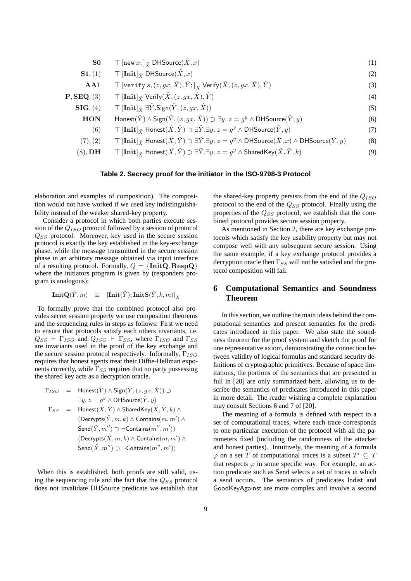| S <sub>0</sub>      | $\top$ [new $x; \vert_{\tilde{X}}$ DHSource $(X, x)$ ]                                                                                                                        | (1) |
|---------------------|-------------------------------------------------------------------------------------------------------------------------------------------------------------------------------|-----|
| $S1, (1)$           | $\top$ [Init] $\tilde{Y}$ DHSource( $\tilde{X}, x$ )                                                                                                                          | (2) |
| AA1                 | $\top$ [verify $s,(z,gx,\hat{X}),\hat{Y};$ ] $_{\tilde{X}}$ Verify $(\tilde{X},(z,gx,\hat{X}),\hat{Y})$                                                                       | (3) |
| P, SEQ, (3)         | $\top$ [Init] $_{\tilde{X}}$ Verify $(\tilde{X}, (z, gx, \hat{X}), \hat{Y})$                                                                                                  | (4) |
| $\textbf{SIG}, (4)$ | $\top$ [Init] $_{\tilde{Y}} \exists \tilde{Y}$ . Sign( $\tilde{Y}$ , $(z, gx, \hat{X})$ )                                                                                     | (5) |
| <b>HON</b>          | Honest $(\hat{Y}) \wedge$ Sign $(\tilde{Y}, (z, gx, \hat{X})) \supset \exists y. z = g^y \wedge \text{DHSource}(\tilde{Y}, y)$                                                | (6) |
| (6)                 | $\top$ [Init] $\chi$ Honest $(\hat{X}, \hat{Y}) \supset \exists \tilde{Y}.\exists y.\ z = g^y \wedge \mathsf{D}$ HSource $(\tilde{Y}, y)$                                     | (7) |
| (7), (2)            | $\top$ [Init] $\circ$ Honest $(\hat{X}, \hat{Y}) \supset \exists \tilde{Y}.\exists y.\ z = g^y \wedge \textsf{DHSource}(\tilde{X}, x) \wedge \textsf{DHSource}(\tilde{Y}, y)$ | (8) |
| $(8)$ , DH          | $\top$ $[\text{Init}]_{\tilde{X}}$ Honest $(\hat{X}, \hat{Y}) \supset \exists \tilde{Y}.\exists y. z = g^y \wedge \text{SharedKey}(\tilde{X}, \tilde{Y}, k)$                  | (9) |

#### **Table 2. Secrecy proof for the initiator in the ISO-9798-3 Protocol**

elaboration and examples of composition). The composition would not have worked if we used key indistinguishability instead of the weaker shared-key property.

Consider a protocol in which both parties execute session of the  $Q_{ISO}$  protocol followed by a session of protocol  $Q_{SS}$  protocol. Moreover, key used in the secure session protocol is exactly the key established in the key-exchange phase, while the message transmitted in the secure session phase in an arbitrary message obtained via input interface of a resulting protocol. Formally,  $Q = \{InitQ, RespQ\}$ where the initiators program is given by (responders program is analogous):

$$
\mathbf{InitQ}(\hat{Y},m) \quad \equiv \quad [\mathbf{Init}(\hat{Y}); \mathbf{InitS}(\hat{Y},k,m)]_{\tilde{X}}
$$

To formally prove that the combined protocol also provides secret session property we use composition theorems and the sequencing rules in steps as follows: First we need to ensure that protocols satisfy each others invariants, i.e.  $Q_{SS}$   $\vdash$   $\Gamma_{ISO}$  and  $Q_{ISO}$   $\vdash$   $\Gamma_{SS}$ , where  $\Gamma_{ISO}$  and  $\Gamma_{SS}$ are invariants used in the proof of the key exchange and the secure session protocol respectively. Informally,  $\Gamma_{ISO}$ requires that honest agents treat their Diffie-Hellman exponents correctly, while  $\Gamma_{SS}$  requires that no party possessing the shared key acts as a decryption oracle.

$$
\begin{array}{rcl} \Gamma_{ISO} & = & \text{Honest}(\hat{Y}) \wedge \text{Sign}(\tilde{Y},(z,gx,\hat{X})) \supset \\ & \exists y. \ z = g^y \wedge \text{DHSource}(\tilde{Y},y) \\ \Gamma_{SS} & = & \text{Honest}(\hat{X},\hat{Y}) \wedge \text{SharedKey}(\tilde{X},\tilde{Y},k) \wedge \\ & & (\text{Decrypts}(\tilde{Y},m,k) \wedge \text{contains}(m,m') \wedge \\ & \text{Send}(\tilde{Y},m'') \supset \neg \text{contains}(m'',m')) \\ & & (\text{Decrypts}(\tilde{X},m,k) \wedge \text{contains}(m,m') \wedge \\ & \text{Send}(\tilde{X},m'') \supset \neg \text{contains}(m'',m')) \end{array}
$$

When this is established, both proofs are still valid, using the sequencing rule and the fact that the  $Q_{SS}$  protocol does not invalidate DHSource predicate we establish that the shared-key property persists from the end of the  $Q_{ISO}$ protocol to the end of the  $Q_{SS}$  protocol. Finally using the properties of the  $Q_{SS}$  protocol, we establish that the combined protocol provides secure session property.

As mentioned in Section 2, there are key exchange protocols which satisfy the key usability property but may not compose well with any subsequent secure session. Using the same example, if a key exchange protocol provides a decryption oracle then  $\Gamma_{SS}$  will not be satisfied and the protocol composition will fail.

# **6 Computational Semantics and Soundness Theorem**

In this section, we outline the main ideas behind the computational semantics and present semantics for the predicates introduced in this paper. We also state the soundness theorem for the proof system and sketch the proof for one representative axiom, demonstrating the connection between validity of logical formulas and standard security definitions of cryptographic primitives. Because of space limitations, the portions of the semantics that are presented in full in [20] are only summarized here, allowing us to describe the semantics of predicates introduced in this paper in more detail. The reader wishing a complete explanation may consult Sections 6 and 7 of [20].

The meaning of a formula is defined with respect to a set of computational traces, where each trace corresponds to one particular execution of the protocol with all the parameters fixed (including the randomness of the attacker and honest parties). Intuitively, the meaning of a formula  $\varphi$  on a set T of computational traces is a subset  $T' \subseteq T$ that respects  $\varphi$  in some specific way. For example, an action predicate such as Send selects a set of traces in which a send occurs. The semantics of predicates Indist and GoodKeyAgainst are more complex and involve a second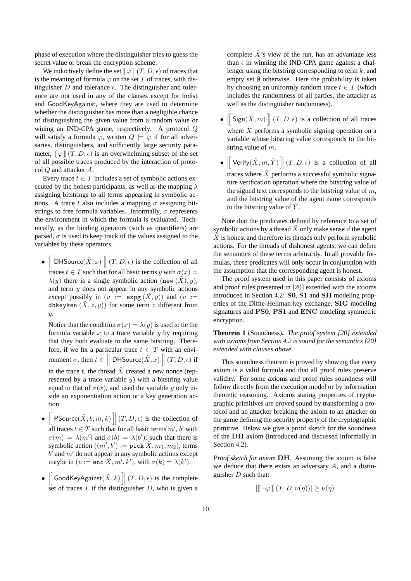phase of execution where the distinguisher tries to guess the secret value or break the encryption scheme.

We inductively define the set  $\left[\varphi\right](T,D,\epsilon)$  of traces that is the meaning of formula  $\varphi$  on the set T of traces, with distinguisher  $D$  and tolerance  $\epsilon$ . The distinguisher and tolerance are not used in any of the clauses except for Indist and GoodKeyAgainst, where they are used to determine whether the distinguisher has more than a negligible chance of distinguishing the given value from a random value or wining an IND-CPA game, respectively. A protocol Q will satisfy a formula  $\varphi$ , written  $Q \models \varphi$  if for all adversaries, distinguishers, and sufficiently large security parameter,  $\left[\varphi\right]$   $(T, D, \epsilon)$  is an overwhelming subset of the set of all possible traces produced by the interaction of protocol Q and attacker A.

Every trace  $t \in T$  includes a set of symbolic actions executed by the honest participants, as well as the mapping  $\lambda$ assigning bitstrings to all terms appearing in symbolic actions. A trace t also includes a mapping  $\sigma$  assigning bitstrings to free formula variables. Informally,  $\sigma$  represents the environment in which the formula is evaluated. Technically, as the binding operators (such as quantifiers) are parsed,  $\sigma$  is used to keep track of the values assigned to the variables by these operators.

h

•  $\begin{bmatrix} \frac{1}{2} & \frac{1}{2} & \frac{1}{2} & \frac{1}{2} & \frac{1}{2} & \frac{1}{2} & \frac{1}{2} & \frac{1}{2} & \frac{1}{2} & \frac{1}{2} & \frac{1}{2} & \frac{1}{2} & \frac{1}{2} & \frac{1}{2} & \frac{1}{2} & \frac{1}{2} & \frac{1}{2} & \frac{1}{2} & \frac{1}{2} & \frac{1}{2} & \frac{1}{2} & \frac{1}{2} & \frac{1}{2} & \frac{1}{2} & \frac{1}{2} & \frac{1}{2} & \frac{1}{2$ DHSource $(\tilde{X}, x)$  $\left\| (T, D, \epsilon) \right\|$  is the collection of all traces  $t \in T$  such that for all basic terms y with  $\sigma(x) =$  $\lambda(y)$  there is a single symbolic action (new  $(X)$ , y), and term  $y$  does not appear in any symbolic actions except possibly in  $(v := \exp(\tilde{X}, y))$  and  $(v :=$ dhkeyken  $(\tilde{X}, z, y)$  for some term z different from  $\mathcal{U}$ .

Notice that the condition  $\sigma(x) = \lambda(y)$  is used to tie the formula variable  $x$  to a trace variable  $y$  by requiring that they both evaluate to the same bitstring. Therefore, if we fix a particular trace  $t \in T$  with an environment  $\sigma$ , then  $t \in \left\Vert \right.$  DHSource $(\tilde{X},x) \left\Vert (T,D,\epsilon) \right.$  if in the trace t, the thread  $\tilde{X}$  created a new nonce (represented by a trace variable  $y$ ) with a bitstring value equal to that of  $\sigma(x)$ , and used the variable y only inside an exponentiation action or a key generation action. h

- $\begin{array}{c} \begin{array}{c} \begin{array}{c} \end{array} \\ \begin{array}{c} \end{array} \end{array} \end{array}$ PSource $(\tilde{X}, b, m, k)$  $\left\| (T, D, \epsilon) \right\|$  is the collection of all traces  $t \in T$  such that for all basic terms  $m'$ , b' with  $\sigma(m) = \lambda(m')$  and  $\sigma(b) = \lambda(b')$ , such that there is symbolic action  $((m', b') := \text{pick } \tilde{X}, m_1, m_2)$ , terms  $b'$  and  $m'$  do not appear in any symbolic actions except maybe in  $(v := \text{enc }\tilde{X}, m', k')$ , with  $\sigma(k) = \lambda(k')$ .
- $\begin{array}{c} \begin{array}{c} \begin{array}{c} \end{array} \\ \begin{array}{c} \end{array} \end{array} \end{array}$ h GoodKeyAgainst $(\tilde{X}, k)$  $\left\| (T, D, \epsilon) \right\|$  is the complete set of traces  $T$  if the distinguisher  $D$ , who is given a

complete  $\hat{X}$ 's view of the run, has an advantage less than  $\epsilon$  in winning the IND-CPA game against a challenger using the bitstring corresponding to term  $k$ , and empty set  $\emptyset$  otherwise. Here the probability is taken by choosing an uniformly random trace  $t \in T$  (which includes the randomness of all parties, the attacker as well as the distinguisher randomness).

- $\begin{array}{c} \begin{array}{c} \begin{array}{c} \end{array} \\ \begin{array}{c} \end{array} \end{array} \end{array}$ h  $Sign(\tilde{X}, m)$  $\left\| (T, D, \epsilon) \right\|$  is a collection of all traces where  $\tilde{X}$  performs a symbolic signing operation on a variable whose bitstring value corresponds to the bitstring value of m.
- $\begin{array}{c} \begin{array}{c} \begin{array}{c} \end{array} \\ \begin{array}{c} \end{array} \end{array} \end{array}$ h Verify $(\hat{X}, m, \hat{Y})$  $\left\| (T, D, \epsilon) \right\|$  is a collection of all traces where  $\tilde{X}$  performs a successful symbolic signature verification operation where the bitstring value of the signed text corresponds to the bitstring value of  $m$ , and the bitstring value of the agent name corresponds to the bitstring value of  $\overline{Y}$ .

Note that the predicates defined by reference to a set of symbolic actions by a thread  $\ddot{X}$  only make sense if the agent  $\hat{X}$  is honest and therefore its threads only perform symbolic actions. For the threads of dishonest agents, we can define the semantics of these terms arbitrarily. In all provable formulas, these predicates will only occur in conjunction with the assumption that the corresponding agent is honest.

The proof system used in this paper consists of axioms and proof rules presented in [20] extended with the axioms introduced in Section 4.2: S0, S1 and SH modeling properties of the Diffie-Hellman key exchange, SIG modeling signatures and PS0, PS1 and ENC modeling symmetric encryption.

**Theorem 1** (Soundness)**.** *The proof system [20] extended with axioms from Section 4.2 is sound for the semantics [20] extended with clauses above.*

This soundness theorem is proved by showing that every axiom is a valid formula and that all proof rules preserve validity. For some axioms and proof rules soundness will follow directly from the execution model or by information theoretic reasoning. Axioms stating properties of cryptographic primitives are proved sound by transforming a protocol and an attacker breaking the axiom to an attacker on the game defining the security property of the cryptographic primitive. Below we give a proof sketch for the soundness of the DH axiom (introduced and discussed informally in Section 4.2).

*Proof sketch for axiom* DH*.* Assuming the axiom is false we deduce that there exists an adversary A, and a distinguisher  $D$  such that:

$$
\left| \left[ \left( \neg \varphi \right] \right] (T, D, \nu(\eta)) \right| \ge \nu(\eta)
$$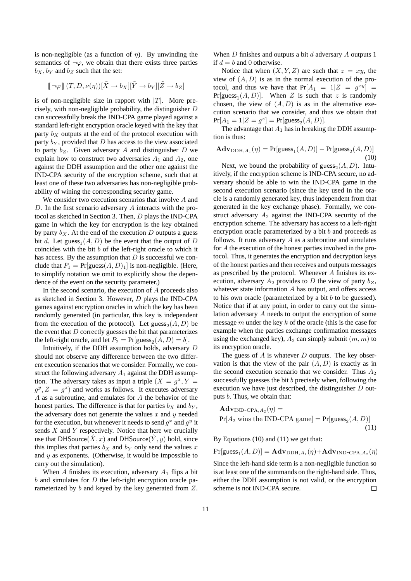is non-negligible (as a function of  $\eta$ ). By unwinding the semantics of  $\neg \varphi$ , we obtain that there exists three parties  $b_X, b_Y$  and  $b_Z$  such that the set:

$$
\llbracket \neg \varphi \rrbracket (T, D, \nu(\eta)) [\tilde{X} \to b_X] [\tilde{Y} \to b_Y] [\tilde{Z} \to b_Z]
$$

is of non-negligible size in rapport with  $|T|$ . More precisely, with non-negligible probability, the distinguisher D can successfully break the IND-CPA game played against a standard left-right encryption oracle keyed with the key that party  $b_X$  outputs at the end of the protocol execution with party  $b_Y$ , provided that  $D$  has access to the view associated to party  $b_Z$ . Given adversary A and distinguisher D we explain how to construct two adversaries  $A_1$  and  $A_2$ , one against the DDH assumption and the other one against the IND-CPA security of the encryption scheme, such that at least one of these two adversaries has non-negligible probability of wining the corresponding security game.

We consider two execution scenarios that involve A and D. In the first scenario adversary A interacts with the protocol as sketched in Section 3. Then, D plays the IND-CPA game in which the key for encryption is the key obtained by party  $b_X$ . At the end of the execution D outputs a guess bit d. Let guess<sub>1</sub> $(A, D)$  be the event that the output of D coincides with the bit b of the left-right oracle to which it has access. By the assumption that  $D$  is successful we conclude that  $P_1 = \Pr[\text{guess}(A, D)_1]$  is non-negligible. (Here, to simplify notation we omit to explicitly show the dependence of the event on the security parameter.)

In the second scenario, the execution of  $A$  proceeds also as sketched in Section 3. However, D plays the IND-CPA games against encryption oracles in which the key has been randomly generated (in particular, this key is independent from the execution of the protocol). Let  $\text{guess}_2(A, D)$  be the event that  $D$  correctly guesses the bit that parameterizes the left-right oracle, and let  $P_2 = Pr[g \text{uess}_2(A, D) = b]$ .

Intuitively, if the DDH assumption holds, adversary D should not observe any difference between the two different execution scenarios that we consider. Formally, we construct the following adversary  $A_1$  against the DDH assumption. The adversary takes as input a triple  $(X = g^x, Y = g^x)$  $g^y$ ,  $Z = g^z$ ) and works as follows. It executes adversary A as a subroutine, and emulates for A the behavior of the honest parties. The difference is that for parties  $b<sub>X</sub>$  and  $b<sub>Y</sub>$ , the adversary does not generate the values  $x$  and  $y$  needed for the execution, but whenever it needs to send  $g^x$  and  $g^y$  it sends  $X$  and  $Y$  respectively. Notice that here we crucially use that DHSource $(X, x)$  and DHSource $(Y, y)$  hold, since this implies that parties  $b_X$  and  $b_Y$  only send the values x and  $y$  as exponents. (Otherwise, it would be impossible to carry out the simulation).

When A finishes its execution, adversary  $A_1$  flips a bit  $b$  and simulates for  $D$  the left-right encryption oracle parameterized by b and keyed by the key generated from Z.

When  $D$  finishes and outputs a bit  $d$  adversary  $A$  outputs 1 if  $d = b$  and 0 otherwise.

Notice that when  $(X, Y, Z)$  are such that  $z = xy$ , the view of  $(A, D)$  is as in the normal execution of the protocol, and thus we have that  $Pr[A_1 = 1 | Z = g^{xy}] =$  $Pr[guess_1(A, D)]$ . When Z is such that z is randomly chosen, the view of  $(A, D)$  is as in the alternative execution scenario that we consider, and thus we obtain that  $Pr[A_1 = 1 | Z = g^z] = Pr[guess_2(A, D)].$ 

The advantage that  $A_1$  has in breaking the DDH assumption is thus:

$$
\mathbf{Adv}_{\mathrm{DDH},A_1}(\eta) = \Pr[\mathsf{guess}_1(A,D)] - \Pr[\mathsf{guess}_2(A,D)] \tag{10}
$$

Next, we bound the probability of guess $_2(A, D)$ . Intuitively, if the encryption scheme is IND-CPA secure, no adversary should be able to win the IND-CPA game in the second execution scenario (since the key used in the oracle is a randomly generated key, thus independent from that generated in the key exchange phase). Formally, we construct adversary  $A_2$  against the IND-CPA security of the encryption scheme. The adversary has access to a left-right encryption oracle parameterized by a bit b and proceeds as follows. It runs adversary  $A$  as a subroutine and simulates for A the execution of the honest parties involved in the protocol. Thus, it generates the encryption and decryption keys of the honest parties and then receives and outputs messages as prescribed by the protocol. Whenever A finishes its execution, adversary  $A_2$  provides to D the view of party  $b_Z$ , whatever state information  $A$  has output, and offers access to his own oracle (parameterized by a bit  $b$  to be guessed). Notice that if at any point, in order to carry out the simulation adversary A needs to output the encryption of some message  $m$  under the key  $k$  of the oracle (this is the case for example when the parties exchange confirmation messages using the exchanged key),  $A_2$  can simply submit  $(m, m)$  to its encryption oracle.

The guess of  $A$  is whatever  $D$  outputs. The key observation is that the view of the pair  $(A, D)$  is exactly as in the second execution scenario that we consider. Thus  $A_2$ successfully guesses the bit  $b$  precisely when, following the execution we have just described, the distinguisher  $D$  outputs b. Thus, we obtain that:

$$
\mathbf{Adv}_{\text{IND-CPA}, A_2}(\eta) =
$$
  
Pr[A\_2 wins the IND-CPA game] = Pr[guess<sub>2</sub>(A, D)] (11)

By Equations (10) and (11) we get that:

$$
\Pr[\mathsf{guess}_1(A, D)] = \mathbf{Adv}_{\text{DDH}, A_1}(\eta) + \mathbf{Adv}_{\text{IND-CPA}, A_2}(\eta)
$$

Since the left-hand side term is a non-negligible function so is at least one of the summands on the right-hand side. Thus, either the DDH assumption is not valid, or the encryption scheme is not IND-CPA secure.  $\Box$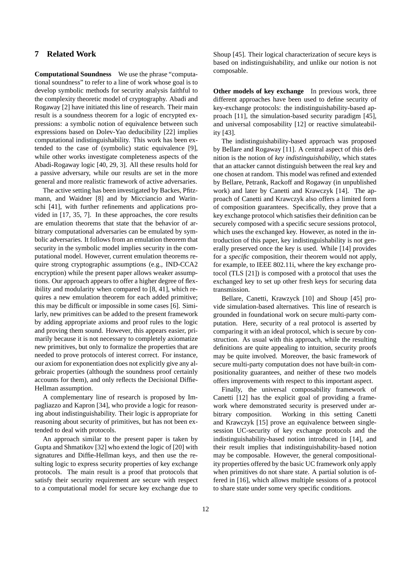# **7 Related Work**

**Computational Soundness** We use the phrase "computational soundness" to refer to a line of work whose goal is to develop symbolic methods for security analysis faithful to the complexity theoretic model of cryptography. Abadi and Rogaway [2] have initiated this line of research. Their main result is a soundness theorem for a logic of encrypted expressions: a symbolic notion of equivalence between such expressions based on Dolev-Yao deducibility [22] implies computational indistinguishability. This work has been extended to the case of (symbolic) static equivalence [9], while other works investigate completeness aspects of the Abadi-Rogaway logic [40, 29, 3]. All these results hold for a passive adversary, while our results are set in the more general and more realistic framework of active adversaries.

The active setting has been investigated by Backes, Pfitzmann, and Waidner [8] and by Micciancio and Warinschi [41], with further refinements and applications provided in [17, 35, 7]. In these approaches, the core results are emulation theorems that state that the behavior of arbitrary computational adversaries can be emulated by symbolic adversaries. It follows from an emulation theorem that security in the symbolic model implies security in the computational model. However, current emulation theorems require strong cryptographic assumptions (e.g., IND-CCA2 encryption) while the present paper allows weaker assumptions. Our approach appears to offer a higher degree of flexibility and modularity when compared to [8, 41], which requires a new emulation theorem for each added primitive; this may be difficult or impossible in some cases [6]. Similarly, new primitives can be added to the present framework by adding appropriate axioms and proof rules to the logic and proving them sound. However, this appears easier, primarily because it is not necessary to completely axiomatize new primitives, but only to formalize the properties that are needed to prove protocols of interest correct. For instance, our axiom for exponentiation does not explicitly give any algebraic properties (although the soundness proof certainly accounts for them), and only reflects the Decisional Diffie-Hellman assumption.

A complementary line of research is proposed by Impagliazzo and Kapron [34], who provide a logic for reasoning about indistinguishability. Their logic is appropriate for reasoning about security of primitives, but has not been extended to deal with protocols.

An approach similar to the present paper is taken by Gupta and Shmatikov [32] who extend the logic of [20] with signatures and Diffie-Hellman keys, and then use the resulting logic to express security properties of key exchange protocols. The main result is a proof that protocols that satisfy their security requirement are secure with respect to a computational model for secure key exchange due to Shoup [45]. Their logical characterization of secure keys is based on indistinguishability, and unlike our notion is not composable.

**Other models of key exchange** In previous work, three different approaches have been used to define security of key-exchange protocols: the indistinguishability-based approach [11], the simulation-based security paradigm [45], and universal composability [12] or reactive simulateability [43].

The indistinguishability-based approach was proposed by Bellare and Rogaway [11]. A central aspect of this definition is the notion of *key indistinguishability*, which states that an attacker cannot distinguish between the real key and one chosen at random. This model was refined and extended by Bellare, Petrank, Rackoff and Rogaway (in unpublished work) and later by Canetti and Krawczyk [14]. The approach of Canetti and Krawczyk also offers a limited form of composition guarantees. Specifically, they prove that a key exchange protocol which satisfies their definition can be securely composed with a specific secure sessions protocol, which uses the exchanged key. However, as noted in the introduction of this paper, key indistinguishability is not generally preserved once the key is used. While [14] provides for a *specific* composition, their theorem would not apply, for example, to IEEE 802.11i, where the key exchange protocol (TLS [21]) is composed with a protocol that uses the exchanged key to set up other fresh keys for securing data transmission.

Bellare, Canetti, Krawzyck [10] and Shoup [45] provide simulation-based alternatives. This line of research is grounded in foundational work on secure multi-party computation. Here, security of a real protocol is asserted by comparing it with an ideal protocol, which is secure by construction. As usual with this approach, while the resulting definitions are quite appealing to intuition, security proofs may be quite involved. Moreover, the basic framework of secure multi-party computation does not have built-in compositionality guarantees, and neither of these two models offers improvements with respect to this important aspect.

Finally, the universal composability framework of Canetti [12] has the explicit goal of providing a framework where demonstrated security is preserved under arbitrary composition. Working in this setting Canetti and Krawczyk [15] prove an equivalence between singlesession UC-security of key exchange protocols and the indistinguishability-based notion introduced in [14], and their result implies that indistinguishability-based notion may be composable. However, the general compositionality properties offered by the basic UC framework only apply when primitives do not share state. A partial solution is offered in [16], which allows multiple sessions of a protocol to share state under some very specific conditions.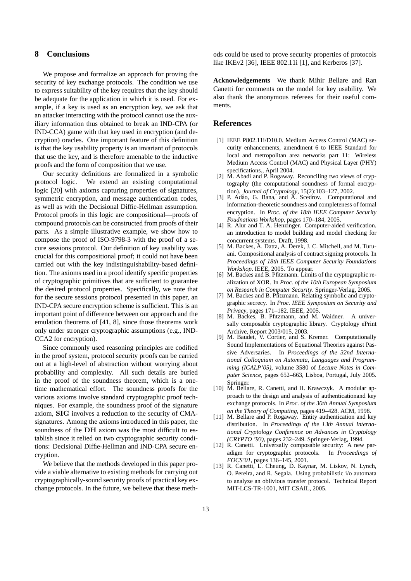# **8 Conclusions**

We propose and formalize an approach for proving the security of key exchange protocols. The condition we use to express suitability of the key requires that the key should be adequate for the application in which it is used. For example, if a key is used as an encryption key, we ask that an attacker interacting with the protocol cannot use the auxiliary information thus obtained to break an IND-CPA (or IND-CCA) game with that key used in encryption (and decryption) oracles. One important feature of this definition is that the key usability property is an invariant of protocols that use the key, and is therefore amenable to the inductive proofs and the form of composition that we use.

Our security definitions are formalized in a symbolic protocol logic. We extend an existing computational logic [20] with axioms capturing properties of signatures, symmetric encryption, and message authentication codes, as well as with the Decisional Diffie-Hellman assumption. Protocol proofs in this logic are compositional—proofs of compound protocols can be constructed from proofs of their parts. As a simple illustrative example, we show how to compose the proof of ISO-9798-3 with the proof of a secure sessions protocol. Our definition of key usability was crucial for this compositional proof; it could not have been carried out with the key indistinguishability-based definition. The axioms used in a proof identify specific properties of cryptographic primitives that are sufficient to guarantee the desired protocol properties. Specifically, we note that for the secure sessions protocol presented in this paper, an IND-CPA secure encryption scheme is sufficient. This is an important point of difference between our approach and the emulation theorems of [41, 8], since those theorems work only under stronger cryptographic assumptions (e.g., IND-CCA2 for encryption).

Since commonly used reasoning principles are codified in the proof system, protocol security proofs can be carried out at a high-level of abstraction without worrying about probability and complexity. All such details are buried in the proof of the soundness theorem, which is a onetime mathematical effort. The soundness proofs for the various axioms involve standard cryptographic proof techniques. For example, the soundness proof of the signature axiom, SIG involves a reduction to the security of CMAsignatures. Among the axioms introduced in this paper, the soundness of the DH axiom was the most difficult to establish since it relied on two cryptographic security conditions: Decisional Diffie-Hellman and IND-CPA secure encryption.

We believe that the methods developed in this paper provide a viable alternative to existing methods for carrying out cryptographically-sound security proofs of practical key exchange protocols. In the future, we believe that these methods could be used to prove security properties of protocols like IKEv2 [36], IEEE 802.11i [1], and Kerberos [37].

**Acknowledgements** We thank Mihir Bellare and Ran Canetti for comments on the model for key usability. We also thank the anonymous referees for their useful comments.

### **References**

- [1] IEEE P802.11i/D10.0. Medium Access Control (MAC) security enhancements, amendment 6 to IEEE Standard for local and metropolitan area networks part 11: Wireless Medium Access Control (MAC) and Physical Layer (PHY) specifications., April 2004.
- [2] M. Abadi and P. Rogaway. Reconciling two views of cryptography (the computational soundness of formal encryption). *Journal of Cryptology*, 15(2):103–127, 2002.
- [3] P. Adão, G. Bana, and A. Scedrov. Computational and information-theoretic soundness and completeness of formal encryption. In *Proc. of the 18th IEEE Computer Security Foudnations Workshop*, pages 170–184, 2005.
- [4] R. Alur and T. A. Henzinger. Computer-aided verification. an introduction to model building and model checking for concurrent systems. Draft, 1998.
- [5] M. Backes, A. Datta, A. Derek, J. C. Mitchell, and M. Turuani. Compositional analysis of contract signing protocols. In *Proceedings of 18th IEEE Computer Security Foundations Workshop*. IEEE, 2005. To appear.
- [6] M. Backes and B. Pfitzmann. Limits of the cryptographic realization of XOR. In *Proc. of the 10th European Symposium on Research in Computer Security*. Springer-Verlag, 2005.
- [7] M. Backes and B. Pfitzmann. Relating symbolic and cryptographic secrecy. In *Proc. IEEE Symposium on Security and Privacy*, pages 171–182. IEEE, 2005.
- [8] M. Backes, B. Pfitzmann, and M. Waidner. A universally composable cryptographic library. Cryptology ePrint Archive, Report 2003/015, 2003.
- [9] M. Baudet, V. Cortier, and S. Kremer. Computationally Sound Implementations of Equational Theories against Passive Adversaries. In *Proceedings of the 32nd International Colloquium on Automata, Languages and Programming (ICALP'05)*, volume 3580 of *Lecture Notes in Computer Science*, pages 652–663, Lisboa, Portugal, July 2005. Springer.
- [10] M. Bellare, R. Canetti, and H. Krawczyk. A modular approach to the design and analysis of authenticationand key exchange protocols. In *Proc. of the 30th Annual Symposium on the Theory of Computing*, pages 419–428. ACM, 1998.
- [11] M. Bellare and P. Rogaway. Entity authentication and key distribution. In *Proceedings of the 13th Annual International Cryptology Conference on Advances in Cryptology (CRYPTO '93)*, pages 232–249. Springer-Verlag, 1994.
- [12] R. Canetti. Universally composable security: A new paradigm for cryptographic protocols. In *Proceedings of FOCS'01*, pages 136–145, 2001.
- [13] R. Canetti, L. Cheung, D. Kaynar, M. Liskov, N. Lynch, O. Pereira, and R. Segala. Using probabilistic i/o automata to analyze an oblivious transfer protocol. Technical Report MIT-LCS-TR-1001, MIT CSAIL, 2005.